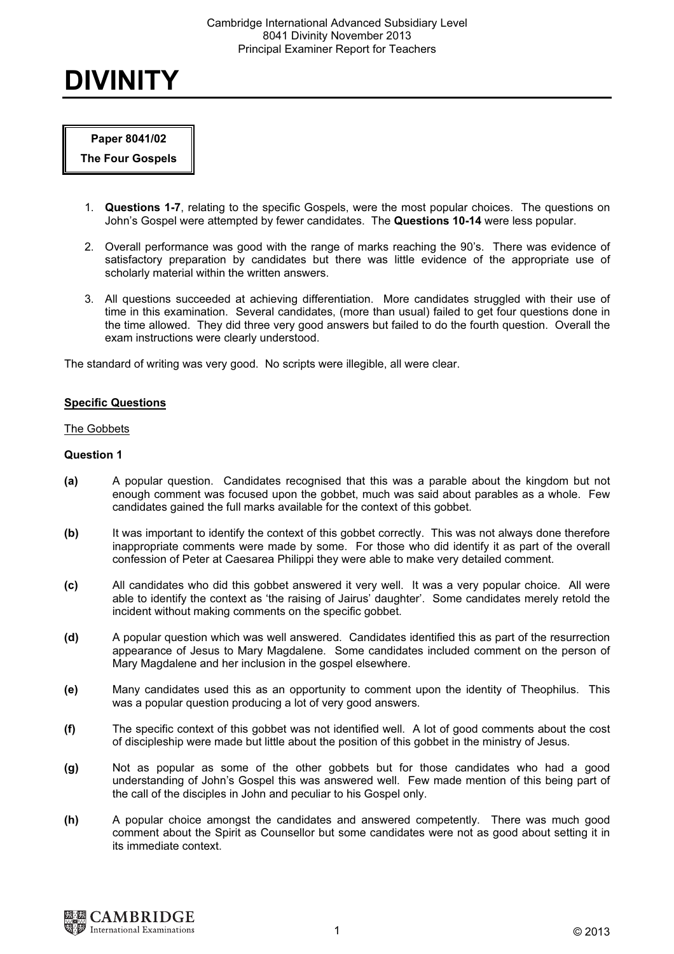#### Cambridge International Advanced Subsidiary Level 8041 Divinity November 2013 Principal Examiner Report for Teachers

# DIVINITY

# Paper 8041/02

The Four Gospels

- 1. Questions 1-7, relating to the specific Gospels, were the most popular choices. The questions on John's Gospel were attempted by fewer candidates. The Questions 10-14 were less popular.
- 2. Overall performance was good with the range of marks reaching the 90's. There was evidence of satisfactory preparation by candidates but there was little evidence of the appropriate use of scholarly material within the written answers.
- 3. All questions succeeded at achieving differentiation. More candidates struggled with their use of time in this examination. Several candidates, (more than usual) failed to get four questions done in the time allowed. They did three very good answers but failed to do the fourth question. Overall the exam instructions were clearly understood.

The standard of writing was very good. No scripts were illegible, all were clear.

# Specific Questions

# The Gobbets

# Question 1

- (a) A popular question. Candidates recognised that this was a parable about the kingdom but not enough comment was focused upon the gobbet, much was said about parables as a whole. Few candidates gained the full marks available for the context of this gobbet.
- (b) It was important to identify the context of this gobbet correctly. This was not always done therefore inappropriate comments were made by some. For those who did identify it as part of the overall confession of Peter at Caesarea Philippi they were able to make very detailed comment.
- (c) All candidates who did this gobbet answered it very well. It was a very popular choice. All were able to identify the context as 'the raising of Jairus' daughter'. Some candidates merely retold the incident without making comments on the specific gobbet.
- (d) A popular question which was well answered. Candidates identified this as part of the resurrection appearance of Jesus to Mary Magdalene. Some candidates included comment on the person of Mary Magdalene and her inclusion in the gospel elsewhere.
- (e) Many candidates used this as an opportunity to comment upon the identity of Theophilus. This was a popular question producing a lot of very good answers.
- (f) The specific context of this gobbet was not identified well. A lot of good comments about the cost of discipleship were made but little about the position of this gobbet in the ministry of Jesus.
- (g) Not as popular as some of the other gobbets but for those candidates who had a good understanding of John's Gospel this was answered well. Few made mention of this being part of the call of the disciples in John and peculiar to his Gospel only.
- (h) A popular choice amongst the candidates and answered competently. There was much good comment about the Spirit as Counsellor but some candidates were not as good about setting it in its immediate context.

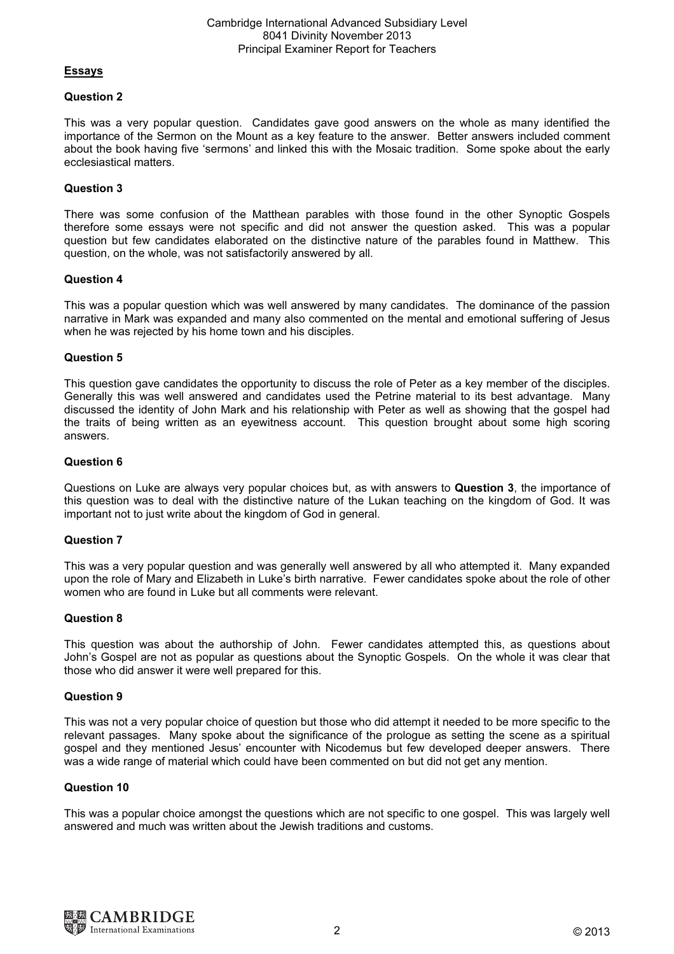#### Cambridge International Advanced Subsidiary Level 8041 Divinity November 2013 Principal Examiner Report for Teachers

# Essays

## Question 2

This was a very popular question. Candidates gave good answers on the whole as many identified the importance of the Sermon on the Mount as a key feature to the answer. Better answers included comment about the book having five 'sermons' and linked this with the Mosaic tradition. Some spoke about the early ecclesiastical matters.

# Question 3

There was some confusion of the Matthean parables with those found in the other Synoptic Gospels therefore some essays were not specific and did not answer the question asked. This was a popular question but few candidates elaborated on the distinctive nature of the parables found in Matthew. This question, on the whole, was not satisfactorily answered by all.

#### Question 4

This was a popular question which was well answered by many candidates. The dominance of the passion narrative in Mark was expanded and many also commented on the mental and emotional suffering of Jesus when he was rejected by his home town and his disciples.

#### Question 5

This question gave candidates the opportunity to discuss the role of Peter as a key member of the disciples. Generally this was well answered and candidates used the Petrine material to its best advantage. Many discussed the identity of John Mark and his relationship with Peter as well as showing that the gospel had the traits of being written as an eyewitness account. This question brought about some high scoring answers.

#### Question 6

Questions on Luke are always very popular choices but, as with answers to Question 3, the importance of this question was to deal with the distinctive nature of the Lukan teaching on the kingdom of God. It was important not to just write about the kingdom of God in general.

# Question 7

This was a very popular question and was generally well answered by all who attempted it. Many expanded upon the role of Mary and Elizabeth in Luke's birth narrative. Fewer candidates spoke about the role of other women who are found in Luke but all comments were relevant.

# Question 8

This question was about the authorship of John. Fewer candidates attempted this, as questions about John's Gospel are not as popular as questions about the Synoptic Gospels. On the whole it was clear that those who did answer it were well prepared for this.

#### Question 9

This was not a very popular choice of question but those who did attempt it needed to be more specific to the relevant passages. Many spoke about the significance of the prologue as setting the scene as a spiritual gospel and they mentioned Jesus' encounter with Nicodemus but few developed deeper answers. There was a wide range of material which could have been commented on but did not get any mention.

#### Question 10

This was a popular choice amongst the questions which are not specific to one gospel. This was largely well answered and much was written about the Jewish traditions and customs.